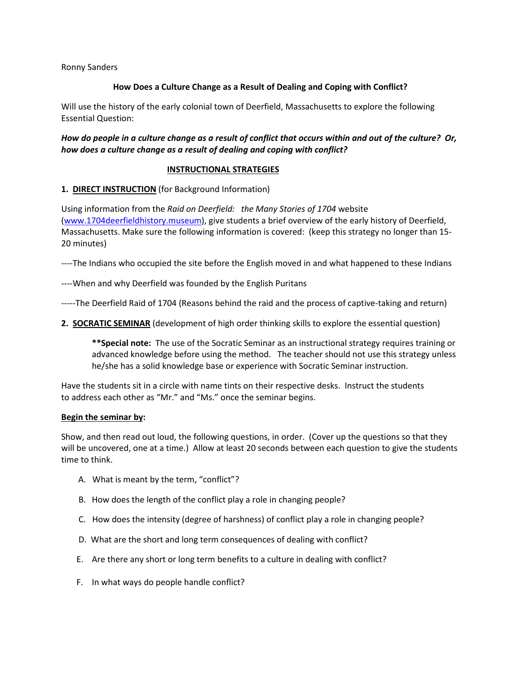Ronny Sanders

### **How Does a Culture Change as a Result of Dealing and Coping with Conflict?**

Will use the history of the early colonial town of Deerfield, Massachusetts to explore the following Essential Question:

# *How do people in a culture change as a result of conflict that occurs within and out of the culture? Or, how does a culture change as a result of dealing and coping with conflict?*

#### **INSTRUCTIONAL STRATEGIES**

### **1. DIRECT INSTRUCTION** (for Background Information)

Using information from the *Raid on Deerfield: the Many Stories of 1704* website [\(www.1704deerfieldhistory.museum\)](http://www.1704deerfieldhistory.museum/), give students a brief overview of the early history of Deerfield, Massachusetts. Make sure the following information is covered: (keep this strategy no longer than 15- 20 minutes)

----The Indians who occupied the site before the English moved in and what happened to these Indians

----When and why Deerfield was founded by the English Puritans

-----The Deerfield Raid of 1704 (Reasons behind the raid and the process of captive-taking and return)

**2. SOCRATIC SEMINAR** (development of high order thinking skills to explore the essential question)

**\*\*Special note:** The use of the Socratic Seminar as an instructional strategy requires training or advanced knowledge before using the method. The teacher should not use this strategy unless he/she has a solid knowledge base or experience with Socratic Seminar instruction.

Have the students sit in a circle with name tints on their respective desks. Instruct the students to address each other as "Mr." and "Ms." once the seminar begins.

#### **Begin the seminar by:**

Show, and then read out loud, the following questions, in order. (Cover up the questions so that they will be uncovered, one at a time.) Allow at least 20 seconds between each question to give the students time to think.

- A. What is meant by the term, "conflict"?
- B. How does the length of the conflict play a role in changing people?
- C. How does the intensity (degree of harshness) of conflict play a role in changing people?
- D. What are the short and long term consequences of dealing with conflict?
- E. Are there any short or long term benefits to a culture in dealing with conflict?
- F. In what ways do people handle conflict?